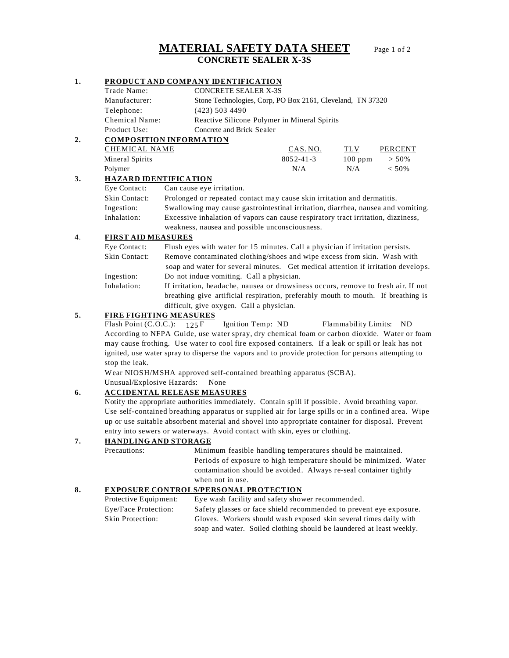# **MATERIAL SAFETY DATA SHEET** Page 1 of 2 **CONCRETE SEALER X-3S**

## **1. PRODUCT AND COMPANY IDENTIFICATION** Trade Name: CONCRETE SEALER X-3S Manufacturer: Stone Technologies, Corp, PO Box 2161, Cleveland, TN 37320 Telephone: (423) 503 4490 Chemical Name: Reactive Silicone Polymer in Mineral Spirits Product Use: Concrete and Brick Sealer **2. COMPOSITION INFORMATION** CHEMICAL NAME CAS. NO. TLV PERCENT Mineral Spirits 8052-41-3 100 ppm > 50% Polymer  $N/A$   $N/A$   $<$  50% **3. HAZARD IDENTIFICATION** Eye Contact: Can cause eye irritation. Skin Contact: Prolonged or repeated contact may cause skin irritation and dermatitis. Ingestion: Swallowing may cause gastrointestinal irritation, diarrhea, nausea and vomiting. Inhalation: Excessive inhalation of vapors can cause respiratory tract irritation, dizziness, weakness, nausea and possible unconsciousness. **4**. **FIRST AID MEASURES** Eye Contact: Flush eyes with water for 15 minutes. Call a physician if irritation persists. Skin Contact: Remove contaminated clothing/shoes and wipe excess from skin. Wash with

soap and water for several minutes. Get medical attention if irritation develops. Ingestion: Do not induce vomiting. Call a physician. Inhalation: If irritation, headache, nausea or drowsiness occurs, remove to fresh air. If not

breathing give artificial respiration, preferably mouth to mouth. If breathing is difficult, give oxygen. Call a physician.

## **5. FIRE FIGHTING MEASURES**

Flash Point (C.O.C.): 125 F Ignition Temp: ND Flammability Limits: ND According to NFPA Guide, use water spray, dry chemical foam or carbon dioxide. Water or foam may cause frothing. Use water to cool fire exposed containers. If a leak or spill or leak has not ignited, use water spray to disperse the vapors and to provide protection for persons attempting to stop the leak.

Wear NIOSH/MSHA approved self-contained breathing apparatus (SCBA).

Unusual/Explosive Hazards: None

## **6. ACCIDENTAL RELEASE MEASURES**

Notify the appropriate authorities immediately. Contain spill if possible. Avoid breathing vapor. Use self- contained breathing apparatus or supplied air for large spills or in a confined area. Wipe up or use suitable absorbent material and shovel into appropriate container for disposal. Prevent entry into sewers or waterways. Avoid contact with skin, eyes or clothing.

## **7. HANDLING AND STORAGE**

Precautions: Minimum feasible handling temperatures should be maintained. Periods of exposure to high temperature should be minimized. Water contamination should be avoided. Always re-seal container tightly when not in use.

#### **8. EXPOSURE CONTROLS/PERSONAL PROTECTION**

| Protective Equipment:   | Eye wash facility and safety shower recommended.                     |
|-------------------------|----------------------------------------------------------------------|
| Eye/Face Protection:    | Safety glasses or face shield recommended to prevent eye exposure.   |
| <b>Skin Protection:</b> | Gloves. Workers should wash exposed skin several times daily with    |
|                         | soap and water. Soiled clothing should be laundered at least weekly. |